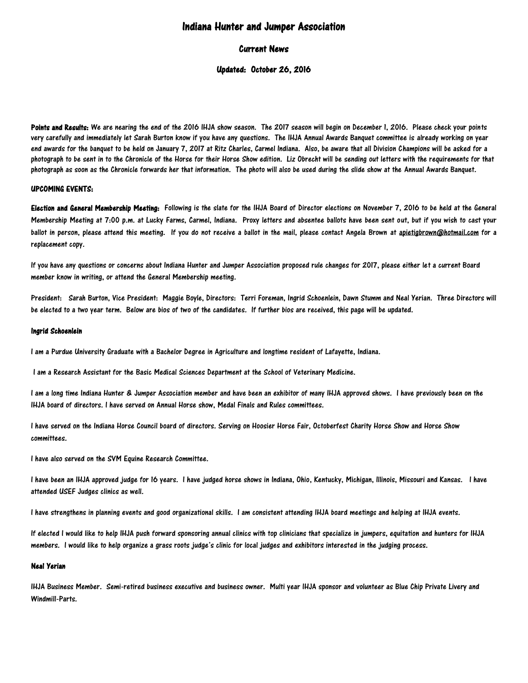# Indiana Hunter and Jumper Association

## Current News

## Updated: October 26, 2016

Points and Results: We are nearing the end of the 2016 IHJA show season. The 2017 season will begin on December 1, 2016. Please check your points very carefully and immediately let Sarah Burton know if you have any questions. The IHJA Annual Awards Banquet committee is already working on year end awards for the banquet to be held on January 7, 2017 at Ritz Charles, Carmel Indiana. Also, be aware that all Division Champions will be asked for a photograph to be sent in to the Chronicle of the Horse for their Horse Show edition. Liz Obrecht will be sending out letters with the requirements for that photograph as soon as the Chronicle forwards her that information. The photo will also be used during the slide show at the Annual Awards Banquet.

#### UPCOMING EVENTS:

Election and General Membership Meeting: Following is the slate for the IHJA Board of Director elections on November 7, 2016 to be held at the General Membership Meeting at 7:00 p.m. at Lucky Farms, Carmel, Indiana. Proxy letters and absentee ballots have been sent out, but if you wish to cast your ballot in person, please attend this meeting. If you do not receive a ballot in the mail, please contact Angela Brown at [apietigbrown@hotmail.com](mailto:apietigbrown@hotmail.com) for a replacement copy.

If you have any questions or concerns about Indiana Hunter and Jumper Association proposed rule changes for 2017, please either let a current Board member know in writing, or attend the General Membership meeting.

President: Sarah Burton, Vice President: Maggie Boyle, Directors: Terri Foreman, Ingrid Schoenlein, Dawn Stumm and Neal Yerian. Three Directors will be elected to a two year term. Below are bios of two of the candidates. If further bios are received, this page will be updated.

#### Ingrid Schoenlein

I am a Purdue University Graduate with a Bachelor Degree in Agriculture and longtime resident of Lafayette, Indiana.

I am a Research Assistant for the Basic Medical Sciences Department at the School of Veterinary Medicine.

I am a long time Indiana Hunter & Jumper Association member and have been an exhibitor of many IHJA approved shows. I have previously been on the IHJA board of directors. I have served on Annual Horse show, Medal Finals and Rules committees.

I have served on the Indiana Horse Council board of directors. Serving on Hoosier Horse Fair, Octoberfest Charity Horse Show and Horse Show committees.

I have also served on the SVM Equine Research Committee.

I have been an IHJA approved judge for 16 years. I have judged horse shows in Indiana, Ohio, Kentucky, Michigan, Illinois, Missouri and Kansas. I have attended USEF Judges clinics as well.

I have strengthens in planning events and good organizational skills. I am consistent attending IHJA board meetings and helping at IHJA events.

If elected I would like to help IHJA push forward sponsoring annual clinics with top clinicians that specialize in jumpers, equitation and hunters for IHJA members. I would like to help organize a grass roots judge's clinic for local judges and exhibitors interested in the judging process.

### Neal Yerian

IHJA Business Member. Semi-retired business executive and business owner. Multi year IHJA sponsor and volunteer as Blue Chip Private Livery and Windmill-Parts.